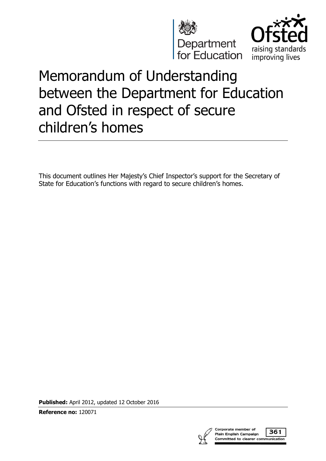



# Memorandum of Understanding between the Department for Education and Ofsted in respect of secure children's homes

This document outlines Her Majesty's Chief Inspector's support for the Secretary of State for Education's functions with regard to secure children's homes.

**Published:** April 2012, updated 12 October 2016

**Reference no:** 120071

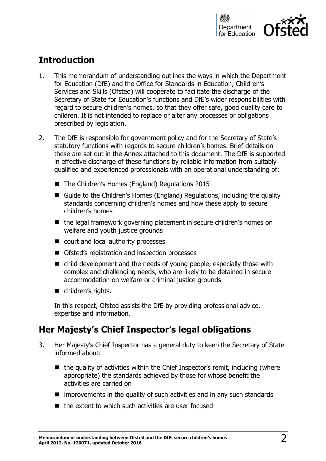

# **Introduction**

- 1. This memorandum of understanding outlines the ways in which the Department for Education (DfE) and the Office for Standards in Education, Children's Services and Skills (Ofsted) will cooperate to facilitate the discharge of the Secretary of State for Education's functions and DfE's wider responsibilities with regard to secure children's homes, so that they offer safe, good quality care to children. It is not intended to replace or alter any processes or obligations prescribed by legislation.
- 2. The DfE is responsible for government policy and for the Secretary of State's statutory functions with regards to secure children's homes. Brief details on these are set out in the Annex attached to this document. The DfE is supported in effective discharge of these functions by reliable information from suitably qualified and experienced professionals with an operational understanding of:
	- The Children's Homes (England) Regulations 2015
	- Guide to the Children's Homes (England) Regulations, including the quality standards concerning children's homes and how these apply to secure children's homes
	- $\blacksquare$  the legal framework governing placement in secure children's homes on welfare and youth justice grounds
	- court and local authority processes
	- Ofsted's registration and inspection processes
	- child development and the needs of young people, especially those with complex and challenging needs, who are likely to be detained in secure accommodation on welfare or criminal justice grounds
	- children's rights.

In this respect, Ofsted assists the DfE by providing professional advice, expertise and information.

## **Her Majesty's Chief Inspector's legal obligations**

- 3. Her Majesty's Chief Inspector has a general duty to keep the Secretary of State informed about:
	- $\blacksquare$  the quality of activities within the Chief Inspector's remit, including (where appropriate) the standards achieved by those for whose benefit the activities are carried on
	- $\blacksquare$  improvements in the quality of such activities and in any such standards
	- $\blacksquare$  the extent to which such activities are user focused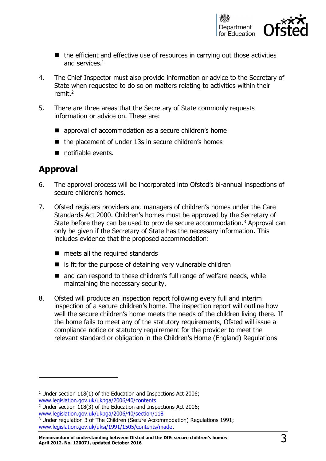

- $\blacksquare$  the efficient and effective use of resources in carrying out those activities and services.<sup>1</sup>
- 4. The Chief Inspector must also provide information or advice to the Secretary of State when requested to do so on matters relating to activities within their remit.<sup>2</sup>
- 5. There are three areas that the Secretary of State commonly requests information or advice on. These are:
	- approval of accommodation as a secure children's home
	- $\blacksquare$  the placement of under 13s in secure children's homes
	- notifiable events.

## **Approval**

j

- 6. The approval process will be incorporated into Ofsted's bi-annual inspections of secure children's homes.
- 7. Ofsted registers providers and managers of children's homes under the Care Standards Act 2000. Children's homes must be approved by the Secretary of State before they can be used to provide secure accommodation.<sup>3</sup> Approval can only be given if the Secretary of State has the necessary information. This includes evidence that the proposed accommodation:
	- meets all the required standards
	- $\blacksquare$  is fit for the purpose of detaining very vulnerable children
	- and can respond to these children's full range of welfare needs, while maintaining the necessary security.
- 8. Ofsted will produce an inspection report following every full and interim inspection of a secure children's home. The inspection report will outline how well the secure children's home meets the needs of the children living there. If the home fails to meet any of the statutory requirements, Ofsted will issue a compliance notice or statutory requirement for the provider to meet the relevant standard or obligation in the Children's Home (England) Regulations

<sup>&</sup>lt;sup>1</sup> Under section 118(1) of the Education and Inspections Act 2006; [www.legislation.gov.uk/ukpga/2006/40/contents.](http://www.legislation.gov.uk/ukpga/2006/40/contents)

<sup>2</sup> Under section 118(3) of the Education and Inspections Act 2006;

[www.legislation.gov.uk/ukpga/2006/40/section/118](http://www.legislation.gov.uk/ukpga/2006/40/section/118)

<sup>&</sup>lt;sup>3</sup> Under regulation 3 of The Children (Secure Accommodation) Regulations 1991; [www.legislation.gov.uk/uksi/1991/1505/contents/made.](http://www.legislation.gov.uk/uksi/1991/1505/contents/made)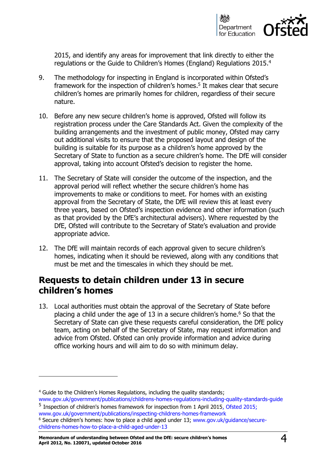

2015, and identify any areas for improvement that link directly to either the regulations or the Guide to Children's Homes (England) Regulations 2015. 4

- 9. The methodology for inspecting in England is incorporated within Ofsted's framework for the inspection of children's homes. 5 It makes clear that secure children's homes are primarily homes for children, regardless of their secure nature.
- 10. Before any new secure children's home is approved, Ofsted will follow its registration process under the Care Standards Act. Given the complexity of the building arrangements and the investment of public money, Ofsted may carry out additional visits to ensure that the proposed layout and design of the building is suitable for its purpose as a children's home approved by the Secretary of State to function as a secure children's home. The DfE will consider approval, taking into account Ofsted's decision to register the home.
- 11. The Secretary of State will consider the outcome of the inspection, and the approval period will reflect whether the secure children's home has improvements to make or conditions to meet. For homes with an existing approval from the Secretary of State, the DfE will review this at least every three years, based on Ofsted's inspection evidence and other information (such as that provided by the DfE's architectural advisers). Where requested by the DfE, Ofsted will contribute to the Secretary of State's evaluation and provide appropriate advice.
- 12. The DfE will maintain records of each approval given to secure children's homes, indicating when it should be reviewed, along with any conditions that must be met and the timescales in which they should be met.

### **Requests to detain children under 13 in secure children's homes**

13. Local authorities must obtain the approval of the Secretary of State before placing a child under the age of 13 in a secure children's home. <sup>6</sup> So that the Secretary of State can give these requests careful consideration, the DfE policy team, acting on behalf of the Secretary of State, may request information and advice from Ofsted. Ofsted can only provide information and advice during office working hours and will aim to do so with minimum delay.

 $\overline{a}$ 

<sup>&</sup>lt;sup>4</sup> Guide to the Children's Homes Regulations, including the quality standards; [www.gov.uk/government/publications/childrens-homes-regulations-including-quality-standards-guide](https://www.gov.uk/government/publications/childrens-homes-regulations-including-quality-standards-guide)

<sup>&</sup>lt;sup>5</sup> [Inspection of children's homes framework for inspection from 1 April 2015,](https://www.gov.uk/government/uploads/system/uploads/attachment_data/file/511226/Inspection_of_childrens_homes_framework_for_inspection_from_1_April_2015.doc) Ofsted 2015; [www.gov.uk/government/publications/inspecting-childrens-homes-framework](https://www.gov.uk/government/publications/inspecting-childrens-homes-framework) <sup>6</sup> Secure children's homes: how to place a child aged under 13; [www.gov.uk/guidance/secure](http://www.gov.uk/guidance/secure-childrens-homes-how-to-place-a-child-aged-under-13)[childrens-homes-how-to-place-a-child-aged-under-13](http://www.gov.uk/guidance/secure-childrens-homes-how-to-place-a-child-aged-under-13)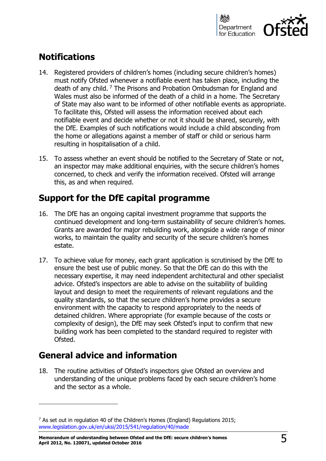

# **Notifications**

- 14. Registered providers of children's homes (including secure children's homes) must notify Ofsted whenever a notifiable event has taken place, including the death of any child. <sup>7</sup> The Prisons and Probation Ombudsman for England and Wales must also be informed of the death of a child in a home. The Secretary of State may also want to be informed of other notifiable events as appropriate. To facilitate this, Ofsted will assess the information received about each notifiable event and decide whether or not it should be shared, securely, with the DfE. Examples of such notifications would include a child absconding from the home or allegations against a member of staff or child or serious harm resulting in hospitalisation of a child.
- 15. To assess whether an event should be notified to the Secretary of State or not, an inspector may make additional enquiries, with the secure children's homes concerned, to check and verify the information received. Ofsted will arrange this, as and when required.

# **Support for the DfE capital programme**

- 16. The DfE has an ongoing capital investment programme that supports the continued development and long-term sustainability of secure children's homes. Grants are awarded for major rebuilding work, alongside a wide range of minor works, to maintain the quality and security of the secure children's homes estate.
- 17. To achieve value for money, each grant application is scrutinised by the DfE to ensure the best use of public money. So that the DfE can do this with the necessary expertise, it may need independent architectural and other specialist advice. Ofsted's inspectors are able to advise on the suitability of building layout and design to meet the requirements of relevant regulations and the quality standards, so that the secure children's home provides a secure environment with the capacity to respond appropriately to the needs of detained children. Where appropriate (for example because of the costs or complexity of design), the DfE may seek Ofsted's input to confirm that new building work has been completed to the standard required to register with Ofsted.

# **General advice and information**

j

18. The routine activities of Ofsted's inspectors give Ofsted an overview and understanding of the unique problems faced by each secure children's home and the sector as a whole.

<sup>7</sup> As set out in regulation 40 of the Children's Homes (England) Regulations 2015; [www.legislation.gov.uk/en/uksi/2015/541/regulation/40/made](http://www.legislation.gov.uk/en/uksi/2015/541/regulation/40/made)

**Memorandum of understanding between Ofsted and the DfE: secure children's homes April 2012, No. 120071, updated October 2016** 5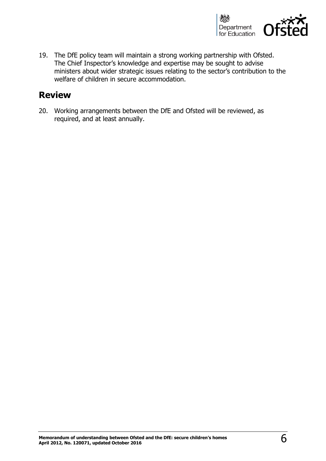

19. The DfE policy team will maintain a strong working partnership with Ofsted. The Chief Inspector's knowledge and expertise may be sought to advise ministers about wider strategic issues relating to the sector's contribution to the welfare of children in secure accommodation.

### **Review**

20. Working arrangements between the DfE and Ofsted will be reviewed, as required, and at least annually.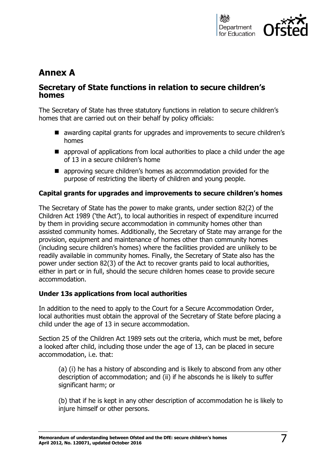

# **Annex A**

### **Secretary of State functions in relation to secure children's homes**

The Secretary of State has three statutory functions in relation to secure children's homes that are carried out on their behalf by policy officials:

- awarding capital grants for upgrades and improvements to secure children's homes
- $\blacksquare$  approval of applications from local authorities to place a child under the age of 13 in a secure children's home
- approving secure children's homes as accommodation provided for the purpose of restricting the liberty of children and young people.

#### **Capital grants for upgrades and improvements to secure children's homes**

The Secretary of State has the power to make grants, under section 82(2) of the Children Act 1989 ('the Act'), to local authorities in respect of expenditure incurred by them in providing secure accommodation in community homes other than assisted community homes. Additionally, the Secretary of State may arrange for the provision, equipment and maintenance of homes other than community homes (including secure children's homes) where the facilities provided are unlikely to be readily available in community homes. Finally, the Secretary of State also has the power under section 82(3) of the Act to recover grants paid to local authorities, either in part or in full, should the secure children homes cease to provide secure accommodation.

#### **Under 13s applications from local authorities**

In addition to the need to apply to the Court for a Secure Accommodation Order, local authorities must obtain the approval of the Secretary of State before placing a child under the age of 13 in secure accommodation.

Section 25 of the Children Act 1989 sets out the criteria, which must be met, before a looked after child, including those under the age of 13, can be placed in secure accommodation, i.e. that:

(a) (i) he has a history of absconding and is likely to abscond from any other description of accommodation; and (ii) if he absconds he is likely to suffer significant harm; or

(b) that if he is kept in any other description of accommodation he is likely to injure himself or other persons.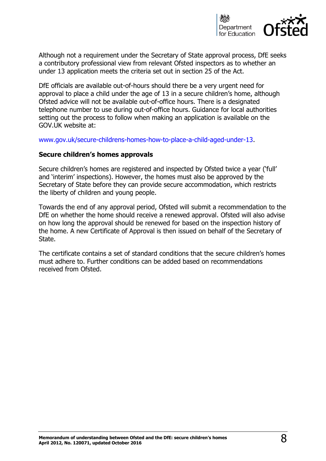

Although not a requirement under the Secretary of State approval process, DfE seeks a contributory professional view from relevant Ofsted inspectors as to whether an under 13 application meets the criteria set out in section 25 of the Act.

DfE officials are available out-of-hours should there be a very urgent need for approval to place a child under the age of 13 in a secure children's home, although Ofsted advice will not be available out-of-office hours. There is a designated telephone number to use during out-of-office hours. Guidance for local authorities setting out the process to follow when making an application is available on the GOV.UK website at:

[www.gov.uk/secure-childrens-homes-how-to-place-a-child-aged-under-13.](https://www.gov.uk/secure-childrens-homes-how-to-place-a-child-aged-under-13)

#### **Secure children's homes approvals**

Secure children's homes are registered and inspected by Ofsted twice a year ('full' and 'interim' inspections). However, the homes must also be approved by the Secretary of State before they can provide secure accommodation, which restricts the liberty of children and young people.

Towards the end of any approval period, Ofsted will submit a recommendation to the DfE on whether the home should receive a renewed approval. Ofsted will also advise on how long the approval should be renewed for based on the inspection history of the home. A new Certificate of Approval is then issued on behalf of the Secretary of State.

The certificate contains a set of standard conditions that the secure children's homes must adhere to. Further conditions can be added based on recommendations received from Ofsted.